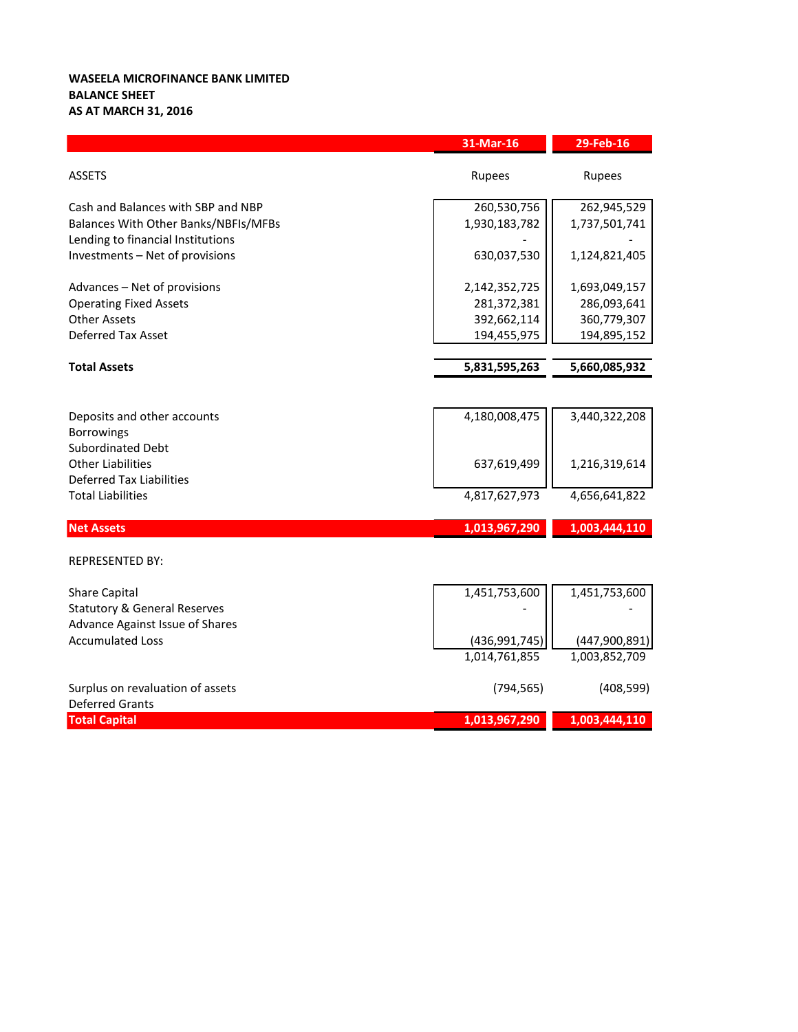## **WASEELA MICROFINANCE BANK LIMITED BALANCE SHEET AS AT MARCH 31, 2016**

|                                                             | 31-Mar-16       | 29-Feb-16     |
|-------------------------------------------------------------|-----------------|---------------|
| <b>ASSETS</b>                                               | Rupees          | <b>Rupees</b> |
| Cash and Balances with SBP and NBP                          | 260,530,756     | 262,945,529   |
| Balances With Other Banks/NBFIs/MFBs                        | 1,930,183,782   | 1,737,501,741 |
| Lending to financial Institutions                           |                 |               |
| Investments - Net of provisions                             | 630,037,530     | 1,124,821,405 |
| Advances - Net of provisions                                | 2,142,352,725   | 1,693,049,157 |
| <b>Operating Fixed Assets</b>                               | 281,372,381     | 286,093,641   |
| <b>Other Assets</b>                                         | 392,662,114     | 360,779,307   |
| <b>Deferred Tax Asset</b>                                   | 194,455,975     | 194,895,152   |
|                                                             |                 |               |
| <b>Total Assets</b>                                         | 5,831,595,263   | 5,660,085,932 |
|                                                             |                 |               |
| Deposits and other accounts                                 | 4,180,008,475   | 3,440,322,208 |
| <b>Borrowings</b>                                           |                 |               |
| Subordinated Debt                                           |                 |               |
| <b>Other Liabilities</b>                                    | 637,619,499     | 1,216,319,614 |
| <b>Deferred Tax Liabilities</b><br><b>Total Liabilities</b> | 4,817,627,973   | 4,656,641,822 |
|                                                             |                 |               |
| <b>Net Assets</b>                                           | 1,013,967,290   | 1,003,444,110 |
|                                                             |                 |               |
| <b>REPRESENTED BY:</b>                                      |                 |               |
| <b>Share Capital</b>                                        | 1,451,753,600   | 1,451,753,600 |
| <b>Statutory &amp; General Reserves</b>                     |                 |               |
| Advance Against Issue of Shares                             |                 |               |
| <b>Accumulated Loss</b>                                     | (436, 991, 745) | (447,900,891) |
|                                                             | 1,014,761,855   | 1,003,852,709 |
| Surplus on revaluation of assets                            | (794, 565)      | (408, 599)    |
| <b>Deferred Grants</b>                                      |                 |               |
| <b>Total Capital</b>                                        | 1,013,967,290   | 1,003,444,110 |